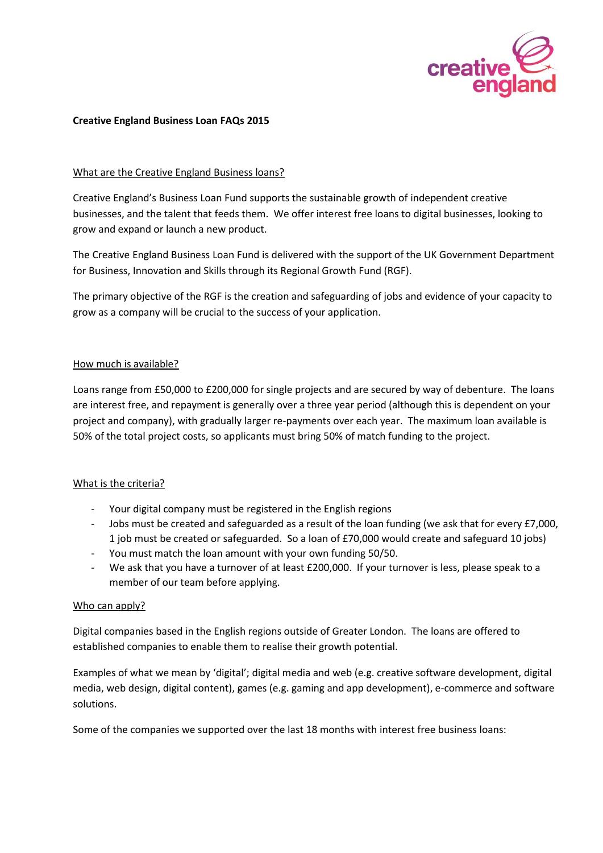

#### **Creative England Business Loan FAQs 2015**

### What are the Creative England Business loans?

Creative England's Business Loan Fund supports the sustainable growth of independent creative businesses, and the talent that feeds them. We offer interest free loans to digital businesses, looking to grow and expand or launch a new product.

The Creative England Business Loan Fund is delivered with the support of the UK Government Department for Business, Innovation and Skills through its Regional Growth Fund (RGF).

The primary objective of the RGF is the creation and safeguarding of jobs and evidence of your capacity to grow as a company will be crucial to the success of your application.

# How much is available?

Loans range from £50,000 to £200,000 for single projects and are secured by way of debenture. The loans are interest free, and repayment is generally over a three year period (although this is dependent on your project and company), with gradually larger re-payments over each year. The maximum loan available is 50% of the total project costs, so applicants must bring 50% of match funding to the project.

# What is the criteria?

- Your digital company must be registered in the English regions
- Jobs must be created and safeguarded as a result of the loan funding (we ask that for every £7,000, 1 job must be created or safeguarded. So a loan of £70,000 would create and safeguard 10 jobs)
- You must match the loan amount with your own funding 50/50.
- We ask that you have a turnover of at least £200,000. If your turnover is less, please speak to a member of our team before applying.

#### Who can apply?

Digital companies based in the English regions outside of Greater London. The loans are offered to established companies to enable them to realise their growth potential.

Examples of what we mean by 'digital'; digital media and web (e.g. creative software development, digital media, web design, digital content), games (e.g. gaming and app development), e-commerce and software solutions.

Some of the companies we supported over the last 18 months with interest free business loans: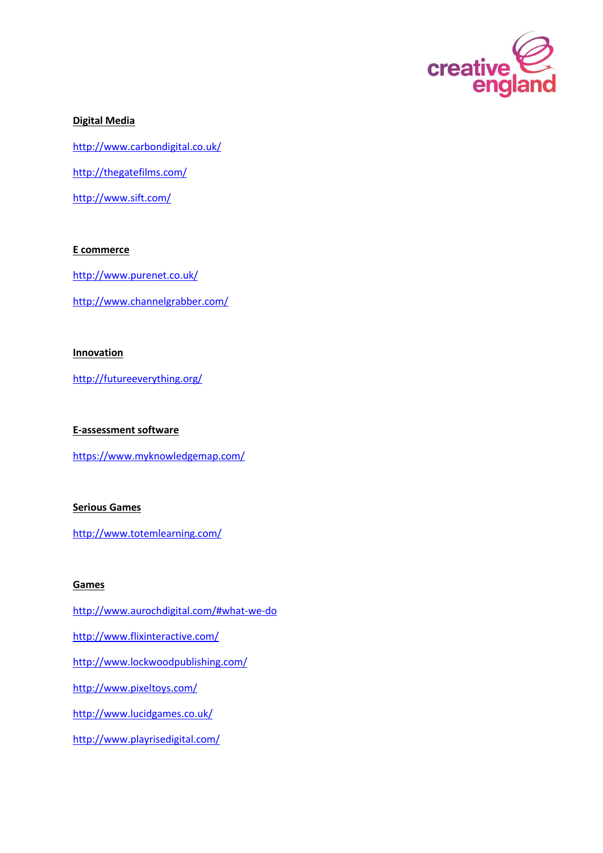

### **Digital Media**

<http://www.carbondigital.co.uk/>

<http://thegatefilms.com/>

<http://www.sift.com/>

# **E commerce**

<http://www.purenet.co.uk/>

<http://www.channelgrabber.com/>

# **Innovation**

<http://futureeverything.org/>

# **E-assessment software**

<https://www.myknowledgemap.com/>

### **Serious Games**

<http://www.totemlearning.com/>

#### **Games**

<http://www.aurochdigital.com/#what-we-do> <http://www.flixinteractive.com/> <http://www.lockwoodpublishing.com/> <http://www.pixeltoys.com/>

<http://www.lucidgames.co.uk/>

<http://www.playrisedigital.com/>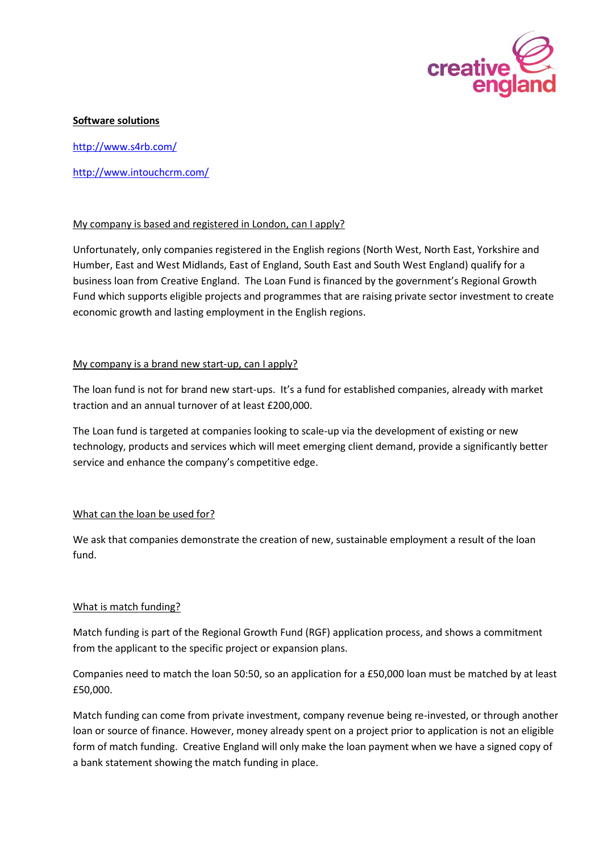

#### **Software solutions**

<http://www.s4rb.com/>

<http://www.intouchcrm.com/>

# My company is based and registered in London, can I apply?

Unfortunately, only companies registered in the English regions (North West, North East, Yorkshire and Humber, East and West Midlands, East of England, South East and South West England) qualify for a business loan from Creative England. The Loan Fund is financed by the government's Regional Growth Fund which supports eligible projects and programmes that are raising private sector investment to create economic growth and lasting employment in the English regions.

# My company is a brand new start-up, can I apply?

The loan fund is not for brand new start-ups. It's a fund for established companies, already with market traction and an annual turnover of at least £200,000.

The Loan fund is targeted at companies looking to scale-up via the development of existing or new technology, products and services which will meet emerging client demand, provide a significantly better service and enhance the company's competitive edge.

#### What can the loan be used for?

We ask that companies demonstrate the creation of new, sustainable employment a result of the loan fund.

#### What is match funding?

Match funding is part of the Regional Growth Fund (RGF) application process, and shows a commitment from the applicant to the specific project or expansion plans.

Companies need to match the loan 50:50, so an application for a £50,000 loan must be matched by at least £50,000.

Match funding can come from private investment, company revenue being re-invested, or through another loan or source of finance. However, money already spent on a project prior to application is not an eligible form of match funding. Creative England will only make the loan payment when we have a signed copy of a bank statement showing the match funding in place.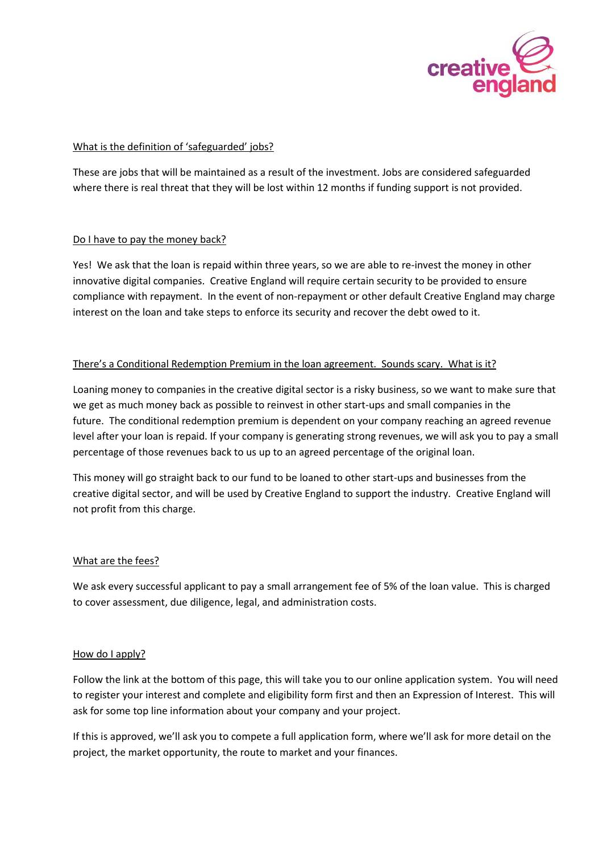

### What is the definition of 'safeguarded' jobs?

These are jobs that will be maintained as a result of the investment. Jobs are considered safeguarded where there is real threat that they will be lost within 12 months if funding support is not provided.

# Do I have to pay the money back?

Yes! We ask that the loan is repaid within three years, so we are able to re-invest the money in other innovative digital companies. Creative England will require certain security to be provided to ensure compliance with repayment. In the event of non-repayment or other default Creative England may charge interest on the loan and take steps to enforce its security and recover the debt owed to it.

# There's a Conditional Redemption Premium in the loan agreement. Sounds scary. What is it?

Loaning money to companies in the creative digital sector is a risky business, so we want to make sure that we get as much money back as possible to reinvest in other start-ups and small companies in the future. The conditional redemption premium is dependent on your company reaching an agreed revenue level after your loan is repaid. If your company is generating strong revenues, we will ask you to pay a small percentage of those revenues back to us up to an agreed percentage of the original loan.

This money will go straight back to our fund to be loaned to other start-ups and businesses from the creative digital sector, and will be used by Creative England to support the industry. Creative England will not profit from this charge.

#### What are the fees?

We ask every successful applicant to pay a small arrangement fee of 5% of the loan value. This is charged to cover assessment, due diligence, legal, and administration costs.

#### How do I apply?

Follow the link at the bottom of this page, this will take you to our online application system. You will need to register your interest and complete and eligibility form first and then an Expression of Interest. This will ask for some top line information about your company and your project.

If this is approved, we'll ask you to compete a full application form, where we'll ask for more detail on the project, the market opportunity, the route to market and your finances.